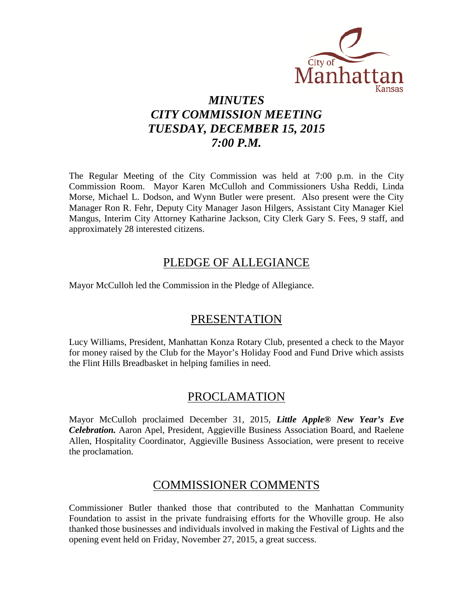

## *MINUTES CITY COMMISSION MEETING TUESDAY, DECEMBER 15, 2015 7:00 P.M.*

The Regular Meeting of the City Commission was held at 7:00 p.m. in the City Commission Room. Mayor Karen McCulloh and Commissioners Usha Reddi, Linda Morse, Michael L. Dodson, and Wynn Butler were present. Also present were the City Manager Ron R. Fehr, Deputy City Manager Jason Hilgers, Assistant City Manager Kiel Mangus, Interim City Attorney Katharine Jackson, City Clerk Gary S. Fees, 9 staff, and approximately 28 interested citizens.

### PLEDGE OF ALLEGIANCE

Mayor McCulloh led the Commission in the Pledge of Allegiance.

## PRESENTATION

Lucy Williams, President, Manhattan Konza Rotary Club, presented a check to the Mayor for money raised by the Club for the Mayor's Holiday Food and Fund Drive which assists the Flint Hills Breadbasket in helping families in need.

### PROCLAMATION

Mayor McCulloh proclaimed December 31, 2015, *Little Apple® New Year's Eve Celebration.* Aaron Apel, President, Aggieville Business Association Board, and Raelene Allen, Hospitality Coordinator, Aggieville Business Association, were present to receive the proclamation.

### COMMISSIONER COMMENTS

Commissioner Butler thanked those that contributed to the Manhattan Community Foundation to assist in the private fundraising efforts for the Whoville group. He also thanked those businesses and individuals involved in making the Festival of Lights and the opening event held on Friday, November 27, 2015, a great success.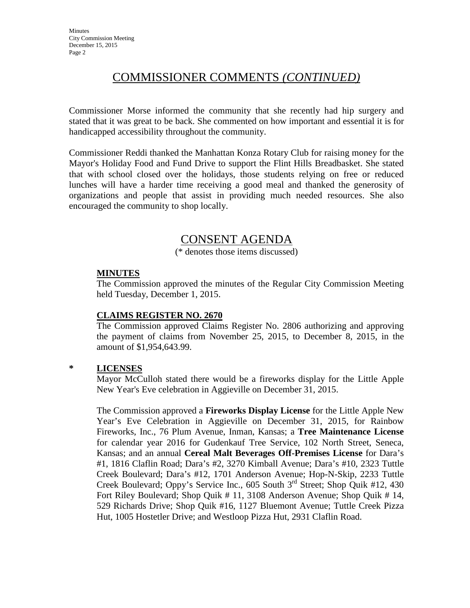## COMMISSIONER COMMENTS *(CONTINUED)*

Commissioner Morse informed the community that she recently had hip surgery and stated that it was great to be back. She commented on how important and essential it is for handicapped accessibility throughout the community.

Commissioner Reddi thanked the Manhattan Konza Rotary Club for raising money for the Mayor's Holiday Food and Fund Drive to support the Flint Hills Breadbasket. She stated that with school closed over the holidays, those students relying on free or reduced lunches will have a harder time receiving a good meal and thanked the generosity of organizations and people that assist in providing much needed resources. She also encouraged the community to shop locally.

## CONSENT AGENDA

(\* denotes those items discussed)

#### **MINUTES**

The Commission approved the minutes of the Regular City Commission Meeting held Tuesday, December 1, 2015.

#### **CLAIMS REGISTER NO. 2670**

The Commission approved Claims Register No. 2806 authorizing and approving the payment of claims from November 25, 2015, to December 8, 2015, in the amount of \$1,954,643.99.

#### **\* LICENSES**

Mayor McCulloh stated there would be a fireworks display for the Little Apple New Year's Eve celebration in Aggieville on December 31, 2015.

The Commission approved a **Fireworks Display License** for the Little Apple New Year's Eve Celebration in Aggieville on December 31, 2015, for Rainbow Fireworks, Inc., 76 Plum Avenue, Inman, Kansas; a **Tree Maintenance License** for calendar year 2016 for Gudenkauf Tree Service, 102 North Street, Seneca, Kansas; and an annual **Cereal Malt Beverages Off-Premises License** for Dara's #1, 1816 Claflin Road; Dara's #2, 3270 Kimball Avenue; Dara's #10, 2323 Tuttle Creek Boulevard; Dara's #12, 1701 Anderson Avenue; Hop-N-Skip, 2233 Tuttle Creek Boulevard; Oppy's Service Inc., 605 South 3<sup>rd</sup> Street; Shop Ouik #12, 430 Fort Riley Boulevard; Shop Quik # 11, 3108 Anderson Avenue; Shop Quik # 14, 529 Richards Drive; Shop Quik #16, 1127 Bluemont Avenue; Tuttle Creek Pizza Hut, 1005 Hostetler Drive; and Westloop Pizza Hut, 2931 Claflin Road.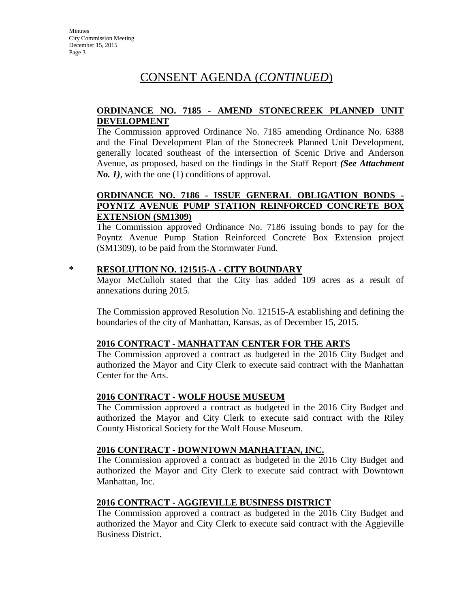#### **ORDINANCE NO. 7185 - AMEND STONECREEK PLANNED UNIT DEVELOPMENT**

The Commission approved Ordinance No. 7185 amending Ordinance No. 6388 and the Final Development Plan of the Stonecreek Planned Unit Development, generally located southeast of the intersection of Scenic Drive and Anderson Avenue, as proposed, based on the findings in the Staff Report *(See Attachment No. 1*), with the one (1) conditions of approval.

#### **ORDINANCE NO. 7186 - ISSUE GENERAL OBLIGATION BONDS - POYNTZ AVENUE PUMP STATION REINFORCED CONCRETE BOX EXTENSION (SM1309)**

The Commission approved Ordinance No. 7186 issuing bonds to pay for the Poyntz Avenue Pump Station Reinforced Concrete Box Extension project (SM1309), to be paid from the Stormwater Fund.

#### **\* RESOLUTION NO. 121515-A - CITY BOUNDARY**

Mayor McCulloh stated that the City has added 109 acres as a result of annexations during 2015.

The Commission approved Resolution No. 121515-A establishing and defining the boundaries of the city of Manhattan, Kansas, as of December 15, 2015.

#### **2016 CONTRACT - MANHATTAN CENTER FOR THE ARTS**

The Commission approved a contract as budgeted in the 2016 City Budget and authorized the Mayor and City Clerk to execute said contract with the Manhattan Center for the Arts.

#### **2016 CONTRACT - WOLF HOUSE MUSEUM**

The Commission approved a contract as budgeted in the 2016 City Budget and authorized the Mayor and City Clerk to execute said contract with the Riley County Historical Society for the Wolf House Museum.

#### **2016 CONTRACT - DOWNTOWN MANHATTAN, INC.**

The Commission approved a contract as budgeted in the 2016 City Budget and authorized the Mayor and City Clerk to execute said contract with Downtown Manhattan, Inc.

### **2016 CONTRACT - AGGIEVILLE BUSINESS DISTRICT**

The Commission approved a contract as budgeted in the 2016 City Budget and authorized the Mayor and City Clerk to execute said contract with the Aggieville Business District.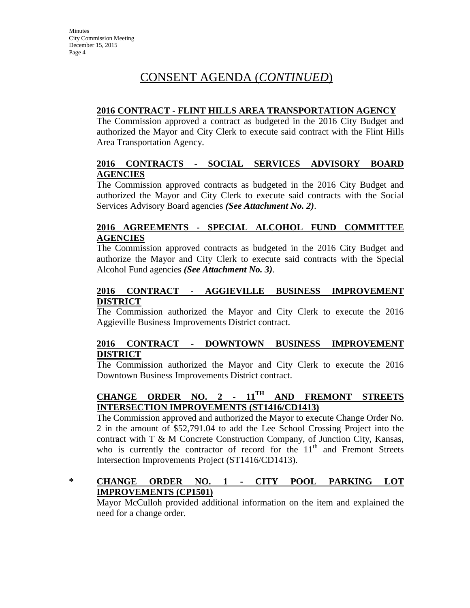#### **2016 CONTRACT - FLINT HILLS AREA TRANSPORTATION AGENCY**

The Commission approved a contract as budgeted in the 2016 City Budget and authorized the Mayor and City Clerk to execute said contract with the Flint Hills Area Transportation Agency.

#### **2016 CONTRACTS - SOCIAL SERVICES ADVISORY BOARD AGENCIES**

The Commission approved contracts as budgeted in the 2016 City Budget and authorized the Mayor and City Clerk to execute said contracts with the Social Services Advisory Board agencies *(See Attachment No. 2)*.

#### **2016 AGREEMENTS - SPECIAL ALCOHOL FUND COMMITTEE AGENCIES**

The Commission approved contracts as budgeted in the 2016 City Budget and authorize the Mayor and City Clerk to execute said contracts with the Special Alcohol Fund agencies *(See Attachment No. 3)*.

#### **2016 CONTRACT - AGGIEVILLE BUSINESS IMPROVEMENT DISTRICT**

The Commission authorized the Mayor and City Clerk to execute the 2016 Aggieville Business Improvements District contract.

#### **2016 CONTRACT - DOWNTOWN BUSINESS IMPROVEMENT DISTRICT**

The Commission authorized the Mayor and City Clerk to execute the 2016 Downtown Business Improvements District contract.

### **CHANGE ORDER NO. 2 - 11TH AND FREMONT STREETS INTERSECTION IMPROVEMENTS (ST1416/CD1413)**

The Commission approved and authorized the Mayor to execute Change Order No. 2 in the amount of \$52,791.04 to add the Lee School Crossing Project into the contract with T & M Concrete Construction Company, of Junction City, Kansas, who is currently the contractor of record for the  $11<sup>th</sup>$  and Fremont Streets Intersection Improvements Project (ST1416/CD1413).

#### **\* CHANGE ORDER NO. 1 - CITY POOL PARKING LOT IMPROVEMENTS (CP1501)**

Mayor McCulloh provided additional information on the item and explained the need for a change order.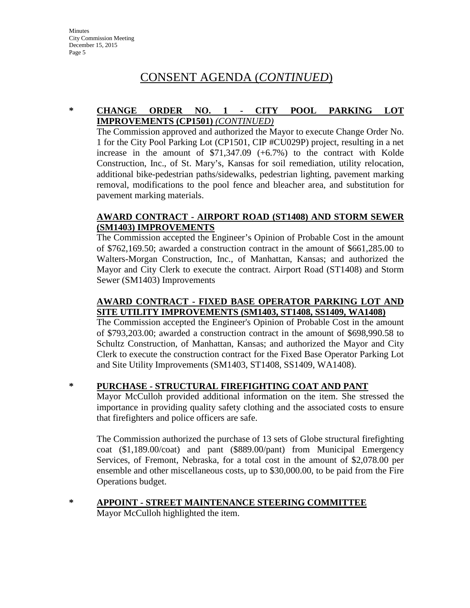#### **\* CHANGE ORDER NO. 1 - CITY POOL PARKING LOT IMPROVEMENTS (CP1501)** *(CONTINUED)*

The Commission approved and authorized the Mayor to execute Change Order No. 1 for the City Pool Parking Lot (CP1501, CIP #CU029P) project, resulting in a net increase in the amount of  $$71,347.09$  (+6.7%) to the contract with Kolde Construction, Inc., of St. Mary's, Kansas for soil remediation, utility relocation, additional bike-pedestrian paths/sidewalks, pedestrian lighting, pavement marking removal, modifications to the pool fence and bleacher area, and substitution for pavement marking materials.

#### **AWARD CONTRACT - AIRPORT ROAD (ST1408) AND STORM SEWER (SM1403) IMPROVEMENTS**

The Commission accepted the Engineer's Opinion of Probable Cost in the amount of \$762,169.50; awarded a construction contract in the amount of \$661,285.00 to Walters-Morgan Construction, Inc., of Manhattan, Kansas; and authorized the Mayor and City Clerk to execute the contract. Airport Road (ST1408) and Storm Sewer (SM1403) Improvements

### **AWARD CONTRACT - FIXED BASE OPERATOR PARKING LOT AND SITE UTILITY IMPROVEMENTS (SM1403, ST1408, SS1409, WA1408)**

The Commission accepted the Engineer's Opinion of Probable Cost in the amount of \$793,203.00; awarded a construction contract in the amount of \$698,990.58 to Schultz Construction, of Manhattan, Kansas; and authorized the Mayor and City Clerk to execute the construction contract for the Fixed Base Operator Parking Lot and Site Utility Improvements (SM1403, ST1408, SS1409, WA1408).

#### **\* PURCHASE - STRUCTURAL FIREFIGHTING COAT AND PANT**

Mayor McCulloh provided additional information on the item. She stressed the importance in providing quality safety clothing and the associated costs to ensure that firefighters and police officers are safe.

The Commission authorized the purchase of 13 sets of Globe structural firefighting coat (\$1,189.00/coat) and pant (\$889.00/pant) from Municipal Emergency Services, of Fremont, Nebraska, for a total cost in the amount of \$2,078.00 per ensemble and other miscellaneous costs, up to \$30,000.00, to be paid from the Fire Operations budget.

**\* APPOINT - STREET MAINTENANCE STEERING COMMITTEE**

Mayor McCulloh highlighted the item.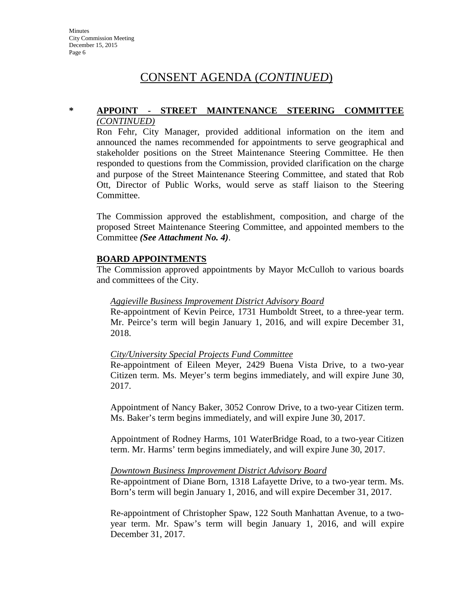#### **\* APPOINT - STREET MAINTENANCE STEERING COMMITTEE** *(CONTINUED)*

Ron Fehr, City Manager, provided additional information on the item and announced the names recommended for appointments to serve geographical and stakeholder positions on the Street Maintenance Steering Committee. He then responded to questions from the Commission, provided clarification on the charge and purpose of the Street Maintenance Steering Committee, and stated that Rob Ott, Director of Public Works, would serve as staff liaison to the Steering Committee.

The Commission approved the establishment, composition, and charge of the proposed Street Maintenance Steering Committee, and appointed members to the Committee *(See Attachment No. 4)*.

#### **BOARD APPOINTMENTS**

The Commission approved appointments by Mayor McCulloh to various boards and committees of the City.

#### *Aggieville Business Improvement District Advisory Board*

Re-appointment of Kevin Peirce, 1731 Humboldt Street, to a three-year term. Mr. Peirce's term will begin January 1, 2016, and will expire December 31, 2018.

#### *City/University Special Projects Fund Committee*

Re-appointment of Eileen Meyer, 2429 Buena Vista Drive, to a two-year Citizen term. Ms. Meyer's term begins immediately, and will expire June 30, 2017.

Appointment of Nancy Baker, 3052 Conrow Drive, to a two-year Citizen term. Ms. Baker's term begins immediately, and will expire June 30, 2017.

Appointment of Rodney Harms, 101 WaterBridge Road, to a two-year Citizen term. Mr. Harms' term begins immediately, and will expire June 30, 2017.

#### *Downtown Business Improvement District Advisory Board*

Re-appointment of Diane Born, 1318 Lafayette Drive, to a two-year term. Ms. Born's term will begin January 1, 2016, and will expire December 31, 2017.

Re-appointment of Christopher Spaw, 122 South Manhattan Avenue, to a twoyear term. Mr. Spaw's term will begin January 1, 2016, and will expire December 31, 2017.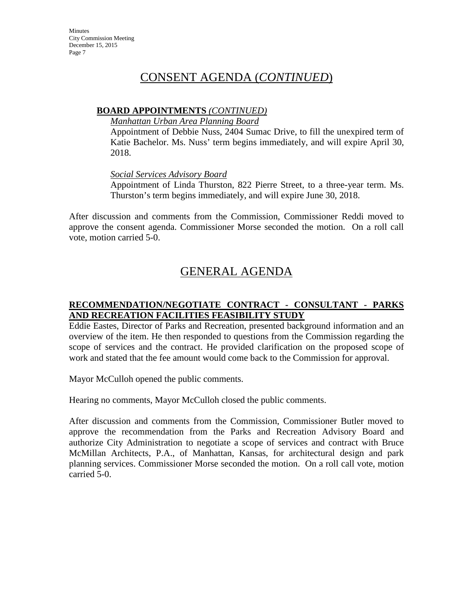#### **BOARD APPOINTMENTS** *(CONTINUED)*

*Manhattan Urban Area Planning Board*

Appointment of Debbie Nuss, 2404 Sumac Drive, to fill the unexpired term of Katie Bachelor. Ms. Nuss' term begins immediately, and will expire April 30, 2018.

*Social Services Advisory Board*

Appointment of Linda Thurston, 822 Pierre Street, to a three-year term. Ms. Thurston's term begins immediately, and will expire June 30, 2018.

After discussion and comments from the Commission, Commissioner Reddi moved to approve the consent agenda. Commissioner Morse seconded the motion. On a roll call vote, motion carried 5-0.

## GENERAL AGENDA

#### **RECOMMENDATION/NEGOTIATE CONTRACT - CONSULTANT - PARKS AND RECREATION FACILITIES FEASIBILITY STUDY**

Eddie Eastes, Director of Parks and Recreation, presented background information and an overview of the item. He then responded to questions from the Commission regarding the scope of services and the contract. He provided clarification on the proposed scope of work and stated that the fee amount would come back to the Commission for approval.

Mayor McCulloh opened the public comments.

Hearing no comments, Mayor McCulloh closed the public comments.

After discussion and comments from the Commission, Commissioner Butler moved to approve the recommendation from the Parks and Recreation Advisory Board and authorize City Administration to negotiate a scope of services and contract with Bruce McMillan Architects, P.A., of Manhattan, Kansas, for architectural design and park planning services. Commissioner Morse seconded the motion. On a roll call vote, motion carried 5-0.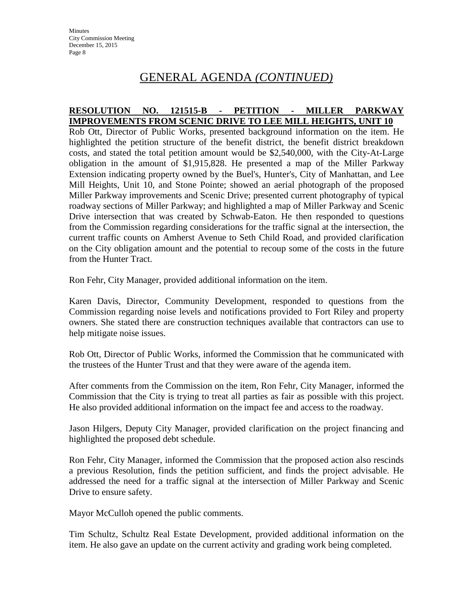## GENERAL AGENDA *(CONTINUED)*

#### **RESOLUTION NO. 121515-B - PETITION - MILLER PARKWAY IMPROVEMENTS FROM SCENIC DRIVE TO LEE MILL HEIGHTS, UNIT 10**

Rob Ott, Director of Public Works, presented background information on the item. He highlighted the petition structure of the benefit district, the benefit district breakdown costs, and stated the total petition amount would be \$2,540,000, with the City-At-Large obligation in the amount of \$1,915,828. He presented a map of the Miller Parkway Extension indicating property owned by the Buel's, Hunter's, City of Manhattan, and Lee Mill Heights, Unit 10, and Stone Pointe; showed an aerial photograph of the proposed Miller Parkway improvements and Scenic Drive; presented current photography of typical roadway sections of Miller Parkway; and highlighted a map of Miller Parkway and Scenic Drive intersection that was created by Schwab-Eaton. He then responded to questions from the Commission regarding considerations for the traffic signal at the intersection, the current traffic counts on Amherst Avenue to Seth Child Road, and provided clarification on the City obligation amount and the potential to recoup some of the costs in the future from the Hunter Tract.

Ron Fehr, City Manager, provided additional information on the item.

Karen Davis, Director, Community Development, responded to questions from the Commission regarding noise levels and notifications provided to Fort Riley and property owners. She stated there are construction techniques available that contractors can use to help mitigate noise issues.

Rob Ott, Director of Public Works, informed the Commission that he communicated with the trustees of the Hunter Trust and that they were aware of the agenda item.

After comments from the Commission on the item, Ron Fehr, City Manager, informed the Commission that the City is trying to treat all parties as fair as possible with this project. He also provided additional information on the impact fee and access to the roadway.

Jason Hilgers, Deputy City Manager, provided clarification on the project financing and highlighted the proposed debt schedule.

Ron Fehr, City Manager, informed the Commission that the proposed action also rescinds a previous Resolution, finds the petition sufficient, and finds the project advisable. He addressed the need for a traffic signal at the intersection of Miller Parkway and Scenic Drive to ensure safety.

Mayor McCulloh opened the public comments.

Tim Schultz, Schultz Real Estate Development, provided additional information on the item. He also gave an update on the current activity and grading work being completed.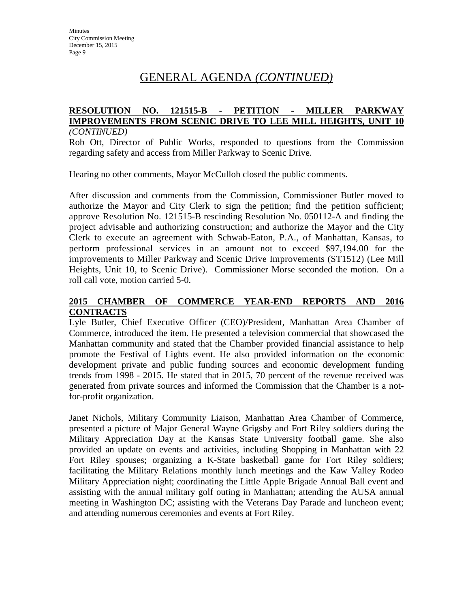## GENERAL AGENDA *(CONTINUED)*

#### **RESOLUTION NO. 121515-B - PETITION - MILLER PARKWAY IMPROVEMENTS FROM SCENIC DRIVE TO LEE MILL HEIGHTS, UNIT 10** *(CONTINUED)*

Rob Ott, Director of Public Works, responded to questions from the Commission regarding safety and access from Miller Parkway to Scenic Drive.

Hearing no other comments, Mayor McCulloh closed the public comments.

After discussion and comments from the Commission, Commissioner Butler moved to authorize the Mayor and City Clerk to sign the petition; find the petition sufficient; approve Resolution No. 121515-B rescinding Resolution No. 050112-A and finding the project advisable and authorizing construction; and authorize the Mayor and the City Clerk to execute an agreement with Schwab-Eaton, P.A., of Manhattan, Kansas, to perform professional services in an amount not to exceed \$97,194.00 for the improvements to Miller Parkway and Scenic Drive Improvements (ST1512) (Lee Mill Heights, Unit 10, to Scenic Drive). Commissioner Morse seconded the motion. On a roll call vote, motion carried 5-0.

#### **2015 CHAMBER OF COMMERCE YEAR-END REPORTS AND 2016 CONTRACTS**

Lyle Butler, Chief Executive Officer (CEO)/President, Manhattan Area Chamber of Commerce, introduced the item. He presented a television commercial that showcased the Manhattan community and stated that the Chamber provided financial assistance to help promote the Festival of Lights event. He also provided information on the economic development private and public funding sources and economic development funding trends from 1998 - 2015. He stated that in 2015, 70 percent of the revenue received was generated from private sources and informed the Commission that the Chamber is a notfor-profit organization.

Janet Nichols, Military Community Liaison, Manhattan Area Chamber of Commerce, presented a picture of Major General Wayne Grigsby and Fort Riley soldiers during the Military Appreciation Day at the Kansas State University football game. She also provided an update on events and activities, including Shopping in Manhattan with 22 Fort Riley spouses; organizing a K-State basketball game for Fort Riley soldiers; facilitating the Military Relations monthly lunch meetings and the Kaw Valley Rodeo Military Appreciation night; coordinating the Little Apple Brigade Annual Ball event and assisting with the annual military golf outing in Manhattan; attending the AUSA annual meeting in Washington DC; assisting with the Veterans Day Parade and luncheon event; and attending numerous ceremonies and events at Fort Riley.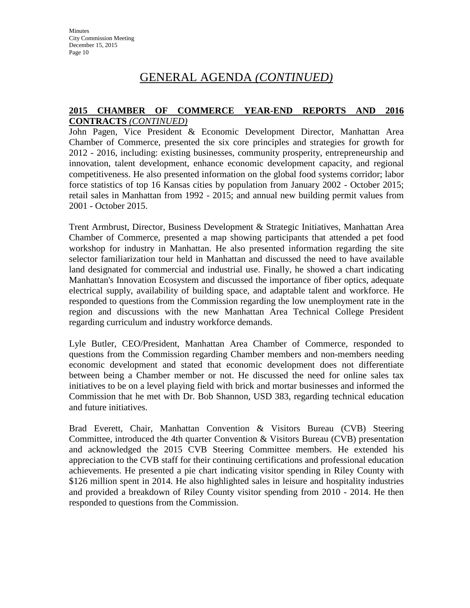## GENERAL AGENDA *(CONTINUED)*

#### **2015 CHAMBER OF COMMERCE YEAR-END REPORTS AND 2016 CONTRACTS** *(CONTINUED)*

John Pagen, Vice President & Economic Development Director, Manhattan Area Chamber of Commerce, presented the six core principles and strategies for growth for 2012 - 2016, including: existing businesses, community prosperity, entrepreneurship and innovation, talent development, enhance economic development capacity, and regional competitiveness. He also presented information on the global food systems corridor; labor force statistics of top 16 Kansas cities by population from January 2002 - October 2015; retail sales in Manhattan from 1992 - 2015; and annual new building permit values from 2001 - October 2015.

Trent Armbrust, Director, Business Development & Strategic Initiatives, Manhattan Area Chamber of Commerce, presented a map showing participants that attended a pet food workshop for industry in Manhattan. He also presented information regarding the site selector familiarization tour held in Manhattan and discussed the need to have available land designated for commercial and industrial use. Finally, he showed a chart indicating Manhattan's Innovation Ecosystem and discussed the importance of fiber optics, adequate electrical supply, availability of building space, and adaptable talent and workforce. He responded to questions from the Commission regarding the low unemployment rate in the region and discussions with the new Manhattan Area Technical College President regarding curriculum and industry workforce demands.

Lyle Butler, CEO/President, Manhattan Area Chamber of Commerce, responded to questions from the Commission regarding Chamber members and non-members needing economic development and stated that economic development does not differentiate between being a Chamber member or not. He discussed the need for online sales tax initiatives to be on a level playing field with brick and mortar businesses and informed the Commission that he met with Dr. Bob Shannon, USD 383, regarding technical education and future initiatives.

Brad Everett, Chair, Manhattan Convention & Visitors Bureau (CVB) Steering Committee, introduced the 4th quarter Convention & Visitors Bureau (CVB) presentation and acknowledged the 2015 CVB Steering Committee members. He extended his appreciation to the CVB staff for their continuing certifications and professional education achievements. He presented a pie chart indicating visitor spending in Riley County with \$126 million spent in 2014. He also highlighted sales in leisure and hospitality industries and provided a breakdown of Riley County visitor spending from 2010 - 2014. He then responded to questions from the Commission.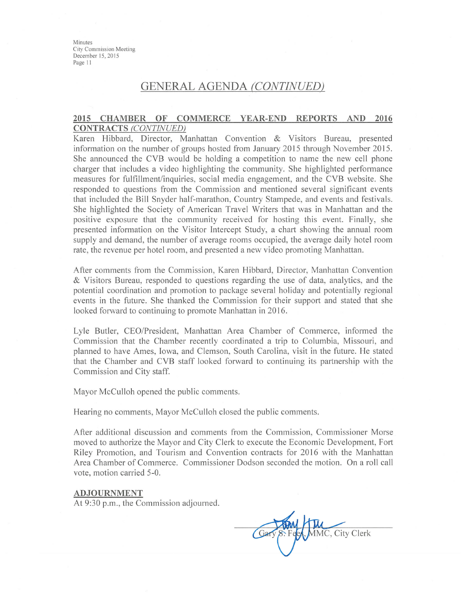### **GENERAL AGENDA (CONTINUED)**

#### 2015 CHAMBER OF COMMERCE YEAR-END REPORTS AND 2016 **CONTRACTS (CONTINUED)**

Karen Hibbard, Director, Manhattan Convention & Visitors Bureau, presented information on the number of groups hosted from January 2015 through November 2015. She announced the CVB would be holding a competition to name the new cell phone charger that includes a video highlighting the community. She highlighted performance measures for fulfillment/inquiries, social media engagement, and the CVB website. She responded to questions from the Commission and mentioned several significant events that included the Bill Snyder half-marathon, Country Stampede, and events and festivals. She highlighted the Society of American Travel Writers that was in Manhattan and the positive exposure that the community received for hosting this event. Finally, she presented information on the Visitor Intercept Study, a chart showing the annual room supply and demand, the number of average rooms occupied, the average daily hotel room rate, the revenue per hotel room, and presented a new video promoting Manhattan.

After comments from the Commission, Karen Hibbard, Director, Manhattan Convention & Visitors Bureau, responded to questions regarding the use of data, analytics, and the potential coordination and promotion to package several holiday and potentially regional events in the future. She thanked the Commission for their support and stated that she looked forward to continuing to promote Manhattan in 2016.

Lyle Butler, CEO/President, Manhattan Area Chamber of Commerce, informed the Commission that the Chamber recently coordinated a trip to Columbia, Missouri, and planned to have Ames, Iowa, and Clemson, South Carolina, visit in the future. He stated that the Chamber and CVB staff looked forward to continuing its partnership with the Commission and City staff.

Mayor McCulloh opened the public comments.

Hearing no comments, Mayor McCulloh closed the public comments.

After additional discussion and comments from the Commission, Commissioner Morse moved to authorize the Mayor and City Clerk to execute the Economic Development, Fort Riley Promotion, and Tourism and Convention contracts for 2016 with the Manhattan Area Chamber of Commerce. Commissioner Dodson seconded the motion. On a roll call vote, motion carried 5-0.

#### **ADJOURNMENT**

At 9:30 p.m., the Commission adjourned.

MMC, City Clerk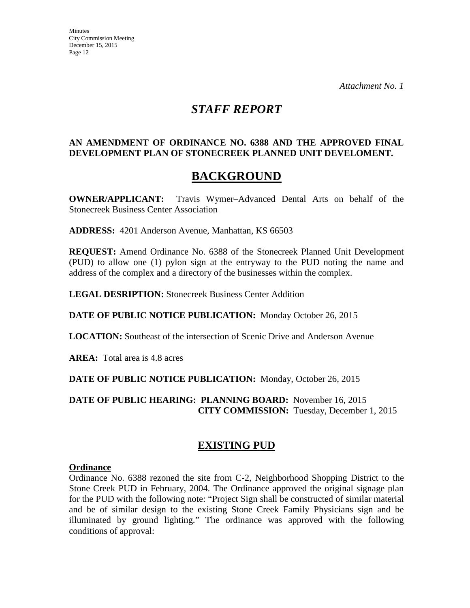## *STAFF REPORT*

#### **AN AMENDMENT OF ORDINANCE NO. 6388 AND THE APPROVED FINAL DEVELOPMENT PLAN OF STONECREEK PLANNED UNIT DEVELOMENT.**

# **BACKGROUND**

**OWNER/APPLICANT:** Travis Wymer–Advanced Dental Arts on behalf of the Stonecreek Business Center Association

**ADDRESS:** 4201 Anderson Avenue, Manhattan, KS 66503

**REQUEST:** Amend Ordinance No. 6388 of the Stonecreek Planned Unit Development (PUD) to allow one (1) pylon sign at the entryway to the PUD noting the name and address of the complex and a directory of the businesses within the complex.

**LEGAL DESRIPTION:** Stonecreek Business Center Addition

**DATE OF PUBLIC NOTICE PUBLICATION:** Monday October 26, 2015

**LOCATION:** Southeast of the intersection of Scenic Drive and Anderson Avenue

**AREA:** Total area is 4.8 acres

**DATE OF PUBLIC NOTICE PUBLICATION:** Monday, October 26, 2015

**DATE OF PUBLIC HEARING: PLANNING BOARD:** November 16, 2015 **CITY COMMISSION:** Tuesday, December 1, 2015

### **EXISTING PUD**

#### **Ordinance**

Ordinance No. 6388 rezoned the site from C-2, Neighborhood Shopping District to the Stone Creek PUD in February, 2004. The Ordinance approved the original signage plan for the PUD with the following note: "Project Sign shall be constructed of similar material and be of similar design to the existing Stone Creek Family Physicians sign and be illuminated by ground lighting." The ordinance was approved with the following conditions of approval: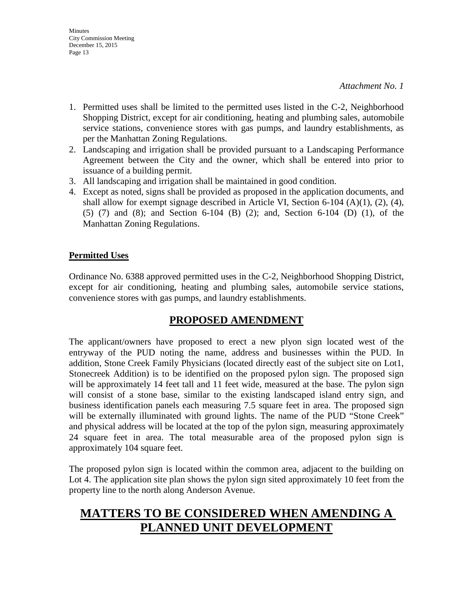- 1. Permitted uses shall be limited to the permitted uses listed in the C-2, Neighborhood Shopping District, except for air conditioning, heating and plumbing sales, automobile service stations, convenience stores with gas pumps, and laundry establishments, as per the Manhattan Zoning Regulations.
- 2. Landscaping and irrigation shall be provided pursuant to a Landscaping Performance Agreement between the City and the owner, which shall be entered into prior to issuance of a building permit.
- 3. All landscaping and irrigation shall be maintained in good condition.
- 4. Except as noted, signs shall be provided as proposed in the application documents, and shall allow for exempt signage described in Article VI, Section 6-104 (A)(1), (2), (4), (5) (7) and (8); and Section 6-104 (B) (2); and, Section 6-104 (D) (1), of the Manhattan Zoning Regulations.

#### **Permitted Uses**

Ordinance No. 6388 approved permitted uses in the C-2, Neighborhood Shopping District, except for air conditioning, heating and plumbing sales, automobile service stations, convenience stores with gas pumps, and laundry establishments.

### **PROPOSED AMENDMENT**

The applicant/owners have proposed to erect a new plyon sign located west of the entryway of the PUD noting the name, address and businesses within the PUD. In addition, Stone Creek Family Physicians (located directly east of the subject site on Lot1, Stonecreek Addition) is to be identified on the proposed pylon sign. The proposed sign will be approximately 14 feet tall and 11 feet wide, measured at the base. The pylon sign will consist of a stone base, similar to the existing landscaped island entry sign, and business identification panels each measuring 7.5 square feet in area. The proposed sign will be externally illuminated with ground lights. The name of the PUD "Stone Creek" and physical address will be located at the top of the pylon sign, measuring approximately 24 square feet in area. The total measurable area of the proposed pylon sign is approximately 104 square feet.

The proposed pylon sign is located within the common area, adjacent to the building on Lot 4. The application site plan shows the pylon sign sited approximately 10 feet from the property line to the north along Anderson Avenue.

## **MATTERS TO BE CONSIDERED WHEN AMENDING A PLANNED UNIT DEVELOPMENT**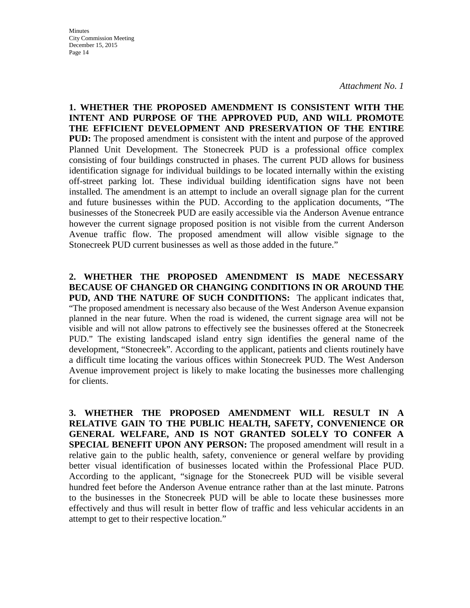*Attachment No. 1*

**1. WHETHER THE PROPOSED AMENDMENT IS CONSISTENT WITH THE INTENT AND PURPOSE OF THE APPROVED PUD, AND WILL PROMOTE THE EFFICIENT DEVELOPMENT AND PRESERVATION OF THE ENTIRE PUD:** The proposed amendment is consistent with the intent and purpose of the approved Planned Unit Development. The Stonecreek PUD is a professional office complex consisting of four buildings constructed in phases. The current PUD allows for business identification signage for individual buildings to be located internally within the existing off-street parking lot. These individual building identification signs have not been installed. The amendment is an attempt to include an overall signage plan for the current and future businesses within the PUD. According to the application documents, "The businesses of the Stonecreek PUD are easily accessible via the Anderson Avenue entrance however the current signage proposed position is not visible from the current Anderson Avenue traffic flow. The proposed amendment will allow visible signage to the Stonecreek PUD current businesses as well as those added in the future."

**2. WHETHER THE PROPOSED AMENDMENT IS MADE NECESSARY BECAUSE OF CHANGED OR CHANGING CONDITIONS IN OR AROUND THE PUD, AND THE NATURE OF SUCH CONDITIONS:** The applicant indicates that, "The proposed amendment is necessary also because of the West Anderson Avenue expansion planned in the near future. When the road is widened, the current signage area will not be visible and will not allow patrons to effectively see the businesses offered at the Stonecreek PUD." The existing landscaped island entry sign identifies the general name of the development, "Stonecreek". According to the applicant, patients and clients routinely have a difficult time locating the various offices within Stonecreek PUD. The West Anderson Avenue improvement project is likely to make locating the businesses more challenging for clients.

**3. WHETHER THE PROPOSED AMENDMENT WILL RESULT IN A RELATIVE GAIN TO THE PUBLIC HEALTH, SAFETY, CONVENIENCE OR GENERAL WELFARE, AND IS NOT GRANTED SOLELY TO CONFER A SPECIAL BENEFIT UPON ANY PERSON:** The proposed amendment will result in a relative gain to the public health, safety, convenience or general welfare by providing better visual identification of businesses located within the Professional Place PUD. According to the applicant, "signage for the Stonecreek PUD will be visible several hundred feet before the Anderson Avenue entrance rather than at the last minute. Patrons to the businesses in the Stonecreek PUD will be able to locate these businesses more effectively and thus will result in better flow of traffic and less vehicular accidents in an attempt to get to their respective location."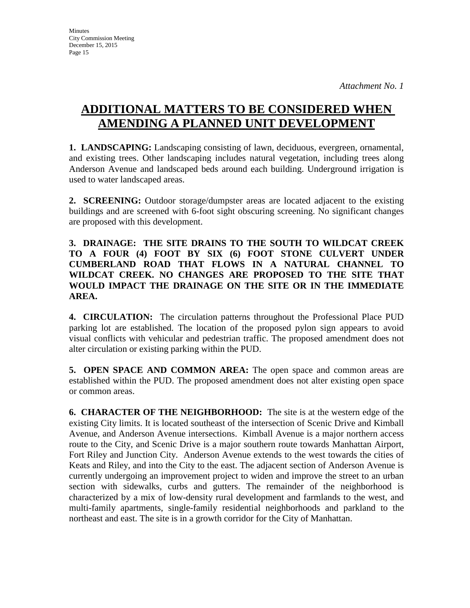# **ADDITIONAL MATTERS TO BE CONSIDERED WHEN AMENDING A PLANNED UNIT DEVELOPMENT**

**1. LANDSCAPING:** Landscaping consisting of lawn, deciduous, evergreen, ornamental, and existing trees. Other landscaping includes natural vegetation, including trees along Anderson Avenue and landscaped beds around each building. Underground irrigation is used to water landscaped areas.

**2. SCREENING:** Outdoor storage/dumpster areas are located adjacent to the existing buildings and are screened with 6-foot sight obscuring screening. No significant changes are proposed with this development.

**3. DRAINAGE: THE SITE DRAINS TO THE SOUTH TO WILDCAT CREEK TO A FOUR (4) FOOT BY SIX (6) FOOT STONE CULVERT UNDER CUMBERLAND ROAD THAT FLOWS IN A NATURAL CHANNEL TO WILDCAT CREEK. NO CHANGES ARE PROPOSED TO THE SITE THAT WOULD IMPACT THE DRAINAGE ON THE SITE OR IN THE IMMEDIATE AREA.** 

**4. CIRCULATION:** The circulation patterns throughout the Professional Place PUD parking lot are established. The location of the proposed pylon sign appears to avoid visual conflicts with vehicular and pedestrian traffic. The proposed amendment does not alter circulation or existing parking within the PUD.

**5. OPEN SPACE AND COMMON AREA:** The open space and common areas are established within the PUD. The proposed amendment does not alter existing open space or common areas.

**6. CHARACTER OF THE NEIGHBORHOOD:** The site is at the western edge of the existing City limits. It is located southeast of the intersection of Scenic Drive and Kimball Avenue, and Anderson Avenue intersections. Kimball Avenue is a major northern access route to the City, and Scenic Drive is a major southern route towards Manhattan Airport, Fort Riley and Junction City. Anderson Avenue extends to the west towards the cities of Keats and Riley, and into the City to the east. The adjacent section of Anderson Avenue is currently undergoing an improvement project to widen and improve the street to an urban section with sidewalks, curbs and gutters. The remainder of the neighborhood is characterized by a mix of low-density rural development and farmlands to the west, and multi-family apartments, single-family residential neighborhoods and parkland to the northeast and east. The site is in a growth corridor for the City of Manhattan.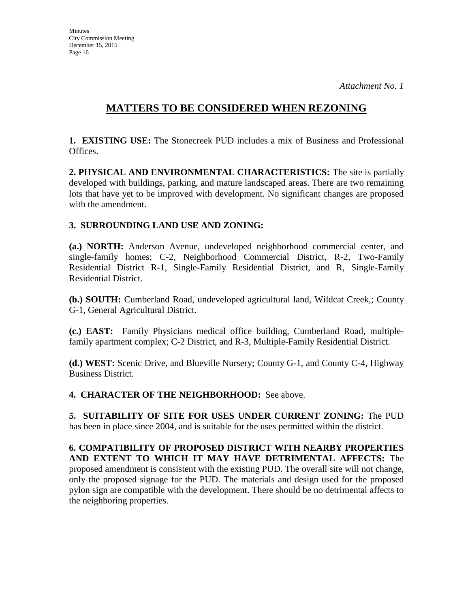### **MATTERS TO BE CONSIDERED WHEN REZONING**

**1. EXISTING USE:** The Stonecreek PUD includes a mix of Business and Professional Offices.

**2. PHYSICAL AND ENVIRONMENTAL CHARACTERISTICS:** The site is partially developed with buildings, parking, and mature landscaped areas. There are two remaining lots that have yet to be improved with development. No significant changes are proposed with the amendment.

#### **3. SURROUNDING LAND USE AND ZONING:**

**(a.) NORTH:** Anderson Avenue, undeveloped neighborhood commercial center, and single-family homes; C-2, Neighborhood Commercial District, R-2, Two-Family Residential District R-1, Single-Family Residential District, and R, Single-Family Residential District.

**(b.) SOUTH:** Cumberland Road, undeveloped agricultural land, Wildcat Creek,; County G-1, General Agricultural District.

**(c.) EAST:** Family Physicians medical office building, Cumberland Road, multiplefamily apartment complex; C-2 District, and R-3, Multiple-Family Residential District.

**(d.) WEST:** Scenic Drive, and Blueville Nursery; County G-1, and County C-4, Highway Business District.

**4. CHARACTER OF THE NEIGHBORHOOD:** See above.

**5. SUITABILITY OF SITE FOR USES UNDER CURRENT ZONING:** The PUD has been in place since 2004, and is suitable for the uses permitted within the district.

**6. COMPATIBILITY OF PROPOSED DISTRICT WITH NEARBY PROPERTIES AND EXTENT TO WHICH IT MAY HAVE DETRIMENTAL AFFECTS:** The proposed amendment is consistent with the existing PUD. The overall site will not change, only the proposed signage for the PUD. The materials and design used for the proposed pylon sign are compatible with the development. There should be no detrimental affects to the neighboring properties.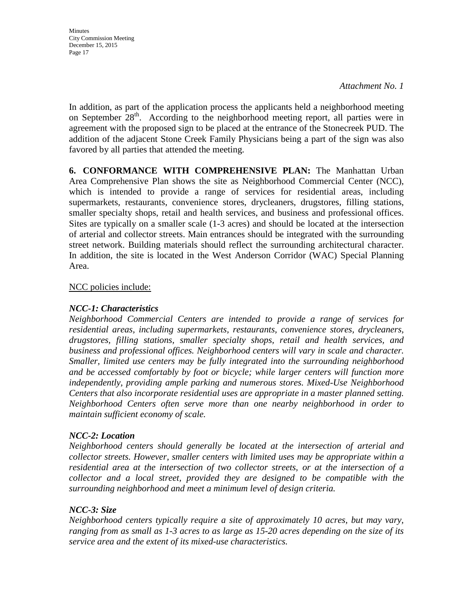*Attachment No. 1*

In addition, as part of the application process the applicants held a neighborhood meeting on September  $28<sup>th</sup>$ . According to the neighborhood meeting report, all parties were in agreement with the proposed sign to be placed at the entrance of the Stonecreek PUD. The addition of the adjacent Stone Creek Family Physicians being a part of the sign was also favored by all parties that attended the meeting.

**6. CONFORMANCE WITH COMPREHENSIVE PLAN:** The Manhattan Urban Area Comprehensive Plan shows the site as Neighborhood Commercial Center (NCC), which is intended to provide a range of services for residential areas, including supermarkets, restaurants, convenience stores, drycleaners, drugstores, filling stations, smaller specialty shops, retail and health services, and business and professional offices. Sites are typically on a smaller scale (1-3 acres) and should be located at the intersection of arterial and collector streets. Main entrances should be integrated with the surrounding street network. Building materials should reflect the surrounding architectural character. In addition, the site is located in the West Anderson Corridor (WAC) Special Planning Area.

#### NCC policies include:

#### *NCC-1: Characteristics*

*Neighborhood Commercial Centers are intended to provide a range of services for residential areas, including supermarkets, restaurants, convenience stores, drycleaners, drugstores, filling stations, smaller specialty shops, retail and health services, and business and professional offices. Neighborhood centers will vary in scale and character. Smaller, limited use centers may be fully integrated into the surrounding neighborhood and be accessed comfortably by foot or bicycle; while larger centers will function more independently, providing ample parking and numerous stores. Mixed-Use Neighborhood Centers that also incorporate residential uses are appropriate in a master planned setting. Neighborhood Centers often serve more than one nearby neighborhood in order to maintain sufficient economy of scale.*

#### *NCC-2: Location*

*Neighborhood centers should generally be located at the intersection of arterial and collector streets. However, smaller centers with limited uses may be appropriate within a residential area at the intersection of two collector streets, or at the intersection of a collector and a local street, provided they are designed to be compatible with the surrounding neighborhood and meet a minimum level of design criteria.*

#### *NCC-3: Size*

*Neighborhood centers typically require a site of approximately 10 acres, but may vary, ranging from as small as 1-3 acres to as large as 15-20 acres depending on the size of its service area and the extent of its mixed-use characteristics.*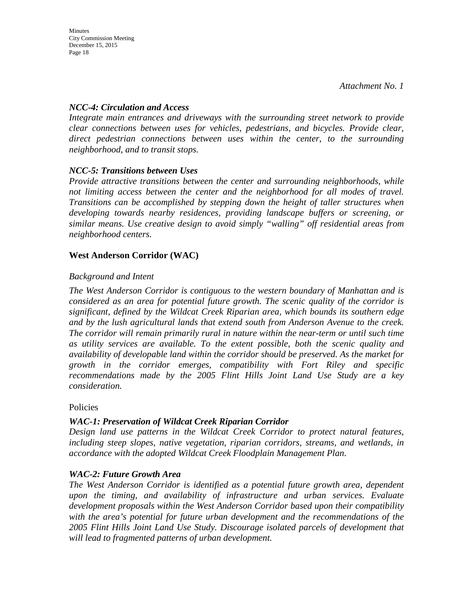#### *NCC-4: Circulation and Access*

*Integrate main entrances and driveways with the surrounding street network to provide clear connections between uses for vehicles, pedestrians, and bicycles. Provide clear, direct pedestrian connections between uses within the center, to the surrounding neighborhood, and to transit stops.*

#### *NCC-5: Transitions between Uses*

*Provide attractive transitions between the center and surrounding neighborhoods, while not limiting access between the center and the neighborhood for all modes of travel. Transitions can be accomplished by stepping down the height of taller structures when developing towards nearby residences, providing landscape buffers or screening, or similar means. Use creative design to avoid simply "walling" off residential areas from neighborhood centers.*

#### **West Anderson Corridor (WAC)**

#### *Background and Intent*

*The West Anderson Corridor is contiguous to the western boundary of Manhattan and is considered as an area for potential future growth. The scenic quality of the corridor is significant, defined by the Wildcat Creek Riparian area, which bounds its southern edge and by the lush agricultural lands that extend south from Anderson Avenue to the creek. The corridor will remain primarily rural in nature within the near-term or until such time as utility services are available. To the extent possible, both the scenic quality and availability of developable land within the corridor should be preserved. As the market for growth in the corridor emerges, compatibility with Fort Riley and specific recommendations made by the 2005 Flint Hills Joint Land Use Study are a key consideration.*

#### Policies

### *WAC-1: Preservation of Wildcat Creek Riparian Corridor*

*Design land use patterns in the Wildcat Creek Corridor to protect natural features, including steep slopes, native vegetation, riparian corridors, streams, and wetlands, in accordance with the adopted Wildcat Creek Floodplain Management Plan.*

#### *WAC-2: Future Growth Area*

*The West Anderson Corridor is identified as a potential future growth area, dependent upon the timing, and availability of infrastructure and urban services. Evaluate development proposals within the West Anderson Corridor based upon their compatibility with the area's potential for future urban development and the recommendations of the 2005 Flint Hills Joint Land Use Study. Discourage isolated parcels of development that will lead to fragmented patterns of urban development.*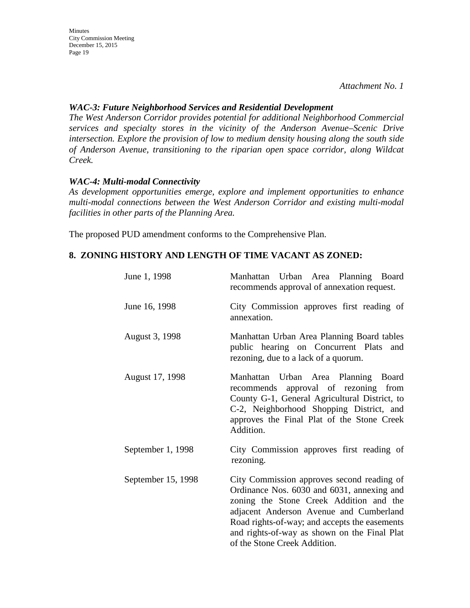*Attachment No. 1*

#### *WAC-3: Future Neighborhood Services and Residential Development*

*The West Anderson Corridor provides potential for additional Neighborhood Commercial services and specialty stores in the vicinity of the Anderson Avenue–Scenic Drive intersection. Explore the provision of low to medium density housing along the south side of Anderson Avenue, transitioning to the riparian open space corridor, along Wildcat Creek.*

#### *WAC-4: Multi-modal Connectivity*

*As development opportunities emerge, explore and implement opportunities to enhance multi-modal connections between the West Anderson Corridor and existing multi-modal facilities in other parts of the Planning Area.*

The proposed PUD amendment conforms to the Comprehensive Plan.

#### **8. ZONING HISTORY AND LENGTH OF TIME VACANT AS ZONED:**

| June 1, 1998       | Manhattan Urban Area Planning Board<br>recommends approval of annexation request.                                                                                                                                                                                                                               |  |  |  |  |
|--------------------|-----------------------------------------------------------------------------------------------------------------------------------------------------------------------------------------------------------------------------------------------------------------------------------------------------------------|--|--|--|--|
| June 16, 1998      | City Commission approves first reading of<br>annexation.                                                                                                                                                                                                                                                        |  |  |  |  |
| August 3, 1998     | Manhattan Urban Area Planning Board tables<br>public hearing on Concurrent Plats and<br>rezoning, due to a lack of a quorum.                                                                                                                                                                                    |  |  |  |  |
| August 17, 1998    | Manhattan Urban Area Planning Board<br>recommends approval of rezoning from<br>County G-1, General Agricultural District, to<br>C-2, Neighborhood Shopping District, and<br>approves the Final Plat of the Stone Creek<br>Addition.                                                                             |  |  |  |  |
| September 1, 1998  | City Commission approves first reading of<br>rezoning.                                                                                                                                                                                                                                                          |  |  |  |  |
| September 15, 1998 | City Commission approves second reading of<br>Ordinance Nos. 6030 and 6031, annexing and<br>zoning the Stone Creek Addition and the<br>adjacent Anderson Avenue and Cumberland<br>Road rights-of-way; and accepts the easements<br>and rights-of-way as shown on the Final Plat<br>of the Stone Creek Addition. |  |  |  |  |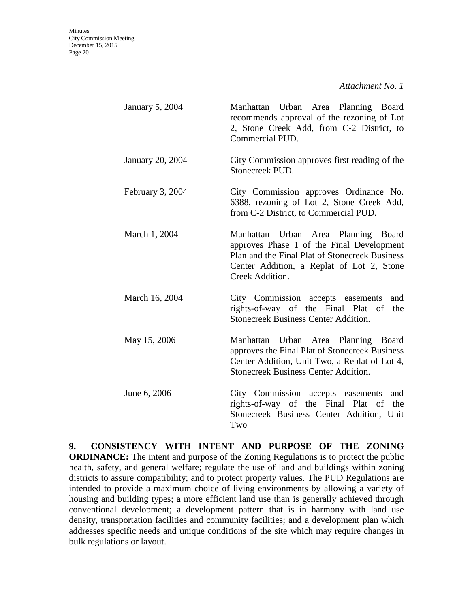| January 5, 2004  | Manhattan Urban Area Planning Board<br>recommends approval of the rezoning of Lot<br>2, Stone Creek Add, from C-2 District, to<br>Commercial PUD.                                                  |
|------------------|----------------------------------------------------------------------------------------------------------------------------------------------------------------------------------------------------|
| January 20, 2004 | City Commission approves first reading of the<br>Stonecreek PUD.                                                                                                                                   |
| February 3, 2004 | City Commission approves Ordinance No.<br>6388, rezoning of Lot 2, Stone Creek Add,<br>from C-2 District, to Commercial PUD.                                                                       |
| March 1, 2004    | Manhattan Urban Area Planning Board<br>approves Phase 1 of the Final Development<br>Plan and the Final Plat of Stonecreek Business<br>Center Addition, a Replat of Lot 2, Stone<br>Creek Addition. |
| March 16, 2004   | City Commission accepts easements<br>and<br>rights-of-way of the Final Plat of the<br><b>Stonecreek Business Center Addition.</b>                                                                  |
| May 15, 2006     | Manhattan Urban Area Planning Board<br>approves the Final Plat of Stonecreek Business<br>Center Addition, Unit Two, a Replat of Lot 4,<br><b>Stonecreek Business Center Addition.</b>              |
| June 6, 2006     | City Commission accepts easements and<br>rights-of-way of the Final Plat of<br>the<br>Stonecreek Business Center Addition, Unit<br>Two                                                             |

**9. CONSISTENCY WITH INTENT AND PURPOSE OF THE ZONING ORDINANCE:** The intent and purpose of the Zoning Regulations is to protect the public health, safety, and general welfare; regulate the use of land and buildings within zoning districts to assure compatibility; and to protect property values. The PUD Regulations are intended to provide a maximum choice of living environments by allowing a variety of housing and building types; a more efficient land use than is generally achieved through conventional development; a development pattern that is in harmony with land use density, transportation facilities and community facilities; and a development plan which addresses specific needs and unique conditions of the site which may require changes in bulk regulations or layout.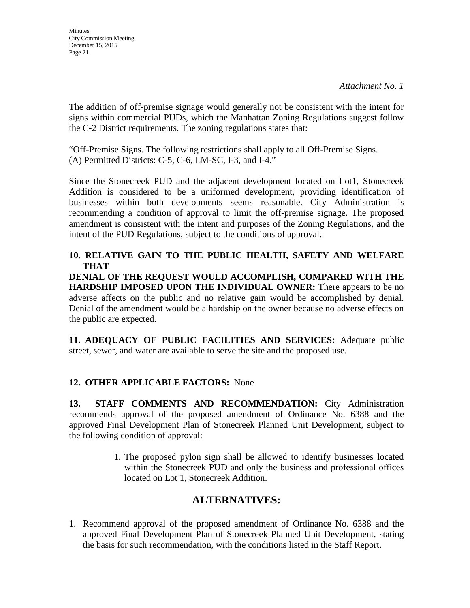The addition of off-premise signage would generally not be consistent with the intent for signs within commercial PUDs, which the Manhattan Zoning Regulations suggest follow the C-2 District requirements. The zoning regulations states that:

"Off-Premise Signs. The following restrictions shall apply to all Off-Premise Signs. (A) Permitted Districts: C-5, C-6, LM-SC, I-3, and I-4."

Since the Stonecreek PUD and the adjacent development located on Lot1, Stonecreek Addition is considered to be a uniformed development, providing identification of businesses within both developments seems reasonable. City Administration is recommending a condition of approval to limit the off-premise signage. The proposed amendment is consistent with the intent and purposes of the Zoning Regulations, and the intent of the PUD Regulations, subject to the conditions of approval.

**10. RELATIVE GAIN TO THE PUBLIC HEALTH, SAFETY AND WELFARE THAT** 

**DENIAL OF THE REQUEST WOULD ACCOMPLISH, COMPARED WITH THE HARDSHIP IMPOSED UPON THE INDIVIDUAL OWNER:** There appears to be no adverse affects on the public and no relative gain would be accomplished by denial. Denial of the amendment would be a hardship on the owner because no adverse effects on the public are expected.

**11. ADEQUACY OF PUBLIC FACILITIES AND SERVICES:** Adequate public street, sewer, and water are available to serve the site and the proposed use.

### **12. OTHER APPLICABLE FACTORS:** None

**13. STAFF COMMENTS AND RECOMMENDATION:** City Administration recommends approval of the proposed amendment of Ordinance No. 6388 and the approved Final Development Plan of Stonecreek Planned Unit Development, subject to the following condition of approval:

> 1. The proposed pylon sign shall be allowed to identify businesses located within the Stonecreek PUD and only the business and professional offices located on Lot 1, Stonecreek Addition.

### **ALTERNATIVES:**

1. Recommend approval of the proposed amendment of Ordinance No. 6388 and the approved Final Development Plan of Stonecreek Planned Unit Development, stating the basis for such recommendation, with the conditions listed in the Staff Report.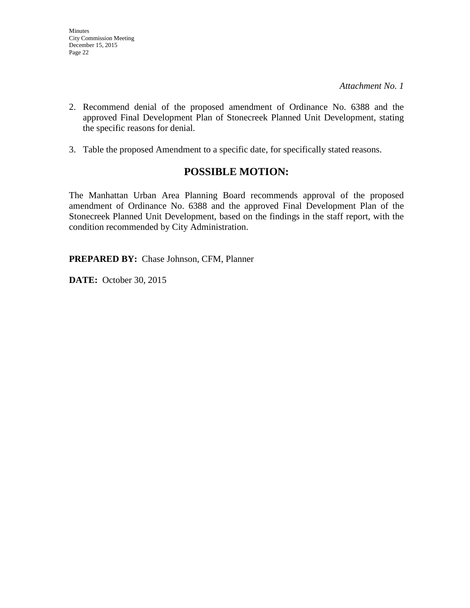- 2. Recommend denial of the proposed amendment of Ordinance No. 6388 and the approved Final Development Plan of Stonecreek Planned Unit Development, stating the specific reasons for denial.
- 3. Table the proposed Amendment to a specific date, for specifically stated reasons.

### **POSSIBLE MOTION:**

The Manhattan Urban Area Planning Board recommends approval of the proposed amendment of Ordinance No. 6388 and the approved Final Development Plan of the Stonecreek Planned Unit Development, based on the findings in the staff report, with the condition recommended by City Administration.

**PREPARED BY:** Chase Johnson, CFM, Planner

**DATE:** October 30, 2015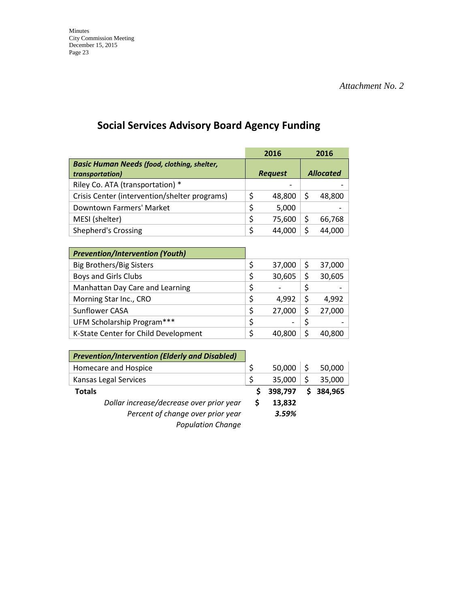# **Social Services Advisory Board Agency Funding**

|                                                    |                | 2016   |                  | 2016   |
|----------------------------------------------------|----------------|--------|------------------|--------|
| <b>Basic Human Needs (food, clothing, shelter,</b> |                |        |                  |        |
| transportation)                                    | <b>Request</b> |        | <b>Allocated</b> |        |
| Riley Co. ATA (transportation) *                   |                |        |                  |        |
| Crisis Center (intervention/shelter programs)      | \$             | 48,800 | S                | 48,800 |
| Downtown Farmers' Market                           | \$             | 5,000  |                  |        |
| MESI (shelter)                                     | \$             | 75,600 | S                | 66,768 |
| <b>Shepherd's Crossing</b>                         | \$             | 44,000 |                  | 44.0   |
|                                                    |                |        |                  |        |

| <b>Prevention/Intervention (Youth)</b> |    |        |   |        |
|----------------------------------------|----|--------|---|--------|
| <b>Big Brothers/Big Sisters</b>        | \$ | 37,000 | S | 37,000 |
| <b>Boys and Girls Clubs</b>            | \$ | 30,605 |   | 30,605 |
| Manhattan Day Care and Learning        | \$ |        |   |        |
| Morning Star Inc., CRO                 | Ś  | 4.992  |   | 4.992  |
| Sunflower CASA                         | \$ | 27,000 | S | 27,000 |
| UFM Scholarship Program***             | \$ |        |   |        |
| K-State Center for Child Development   |    | 40.800 |   |        |

| <b>Prevention/Intervention (Elderly and Disabled)</b> |         |    |         |
|-------------------------------------------------------|---------|----|---------|
| Homecare and Hospice                                  | 50,000  |    | 50,000  |
| Kansas Legal Services                                 | 35,000  | Ś  | 35,000  |
| <b>Totals</b>                                         | 398,797 | S. | 384,965 |
| Dollar increase/decrease over prior year              | 13,832  |    |         |
| Percent of change over prior year                     | 3.59%   |    |         |
| <b>Population Change</b>                              |         |    |         |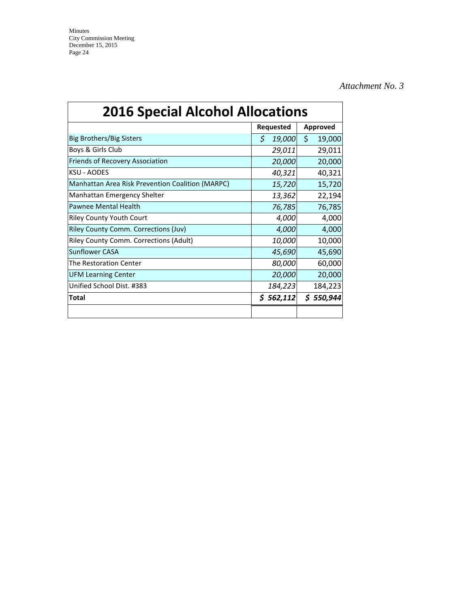*Attachment No. 3*

| <b>2016 Special Alcohol Allocations</b>          |             |                 |  |
|--------------------------------------------------|-------------|-----------------|--|
|                                                  | Requested   | <b>Approved</b> |  |
| Big Brothers/Big Sisters                         | Ś<br>19,000 | \$<br>19,000    |  |
| Boys & Girls Club                                | 29,011      | 29,011          |  |
| Friends of Recovery Association                  | 20,000      | 20,000          |  |
| <b>KSU - AODES</b>                               | 40,321      | 40,321          |  |
| Manhattan Area Risk Prevention Coalition (MARPC) | 15,720      | 15,720          |  |
| Manhattan Emergency Shelter                      | 13,362      | 22,194          |  |
| Pawnee Mental Health                             | 76,785      | 76,785          |  |
| <b>Riley County Youth Court</b>                  | 4,000       | 4,000           |  |
| <b>Riley County Comm. Corrections (Juv)</b>      | 4,000       | 4,000           |  |
| <b>Riley County Comm. Corrections (Adult)</b>    | 10,000      | 10,000          |  |
| <b>Sunflower CASA</b>                            | 45,690      | 45,690          |  |
| The Restoration Center                           | 80,000      | 60,000          |  |
| <b>UFM Learning Center</b>                       | 20,000      | 20,000          |  |
| Unified School Dist. #383                        | 184,223     | 184,223         |  |
| Total                                            | \$562,112   | \$550,944       |  |
|                                                  |             |                 |  |